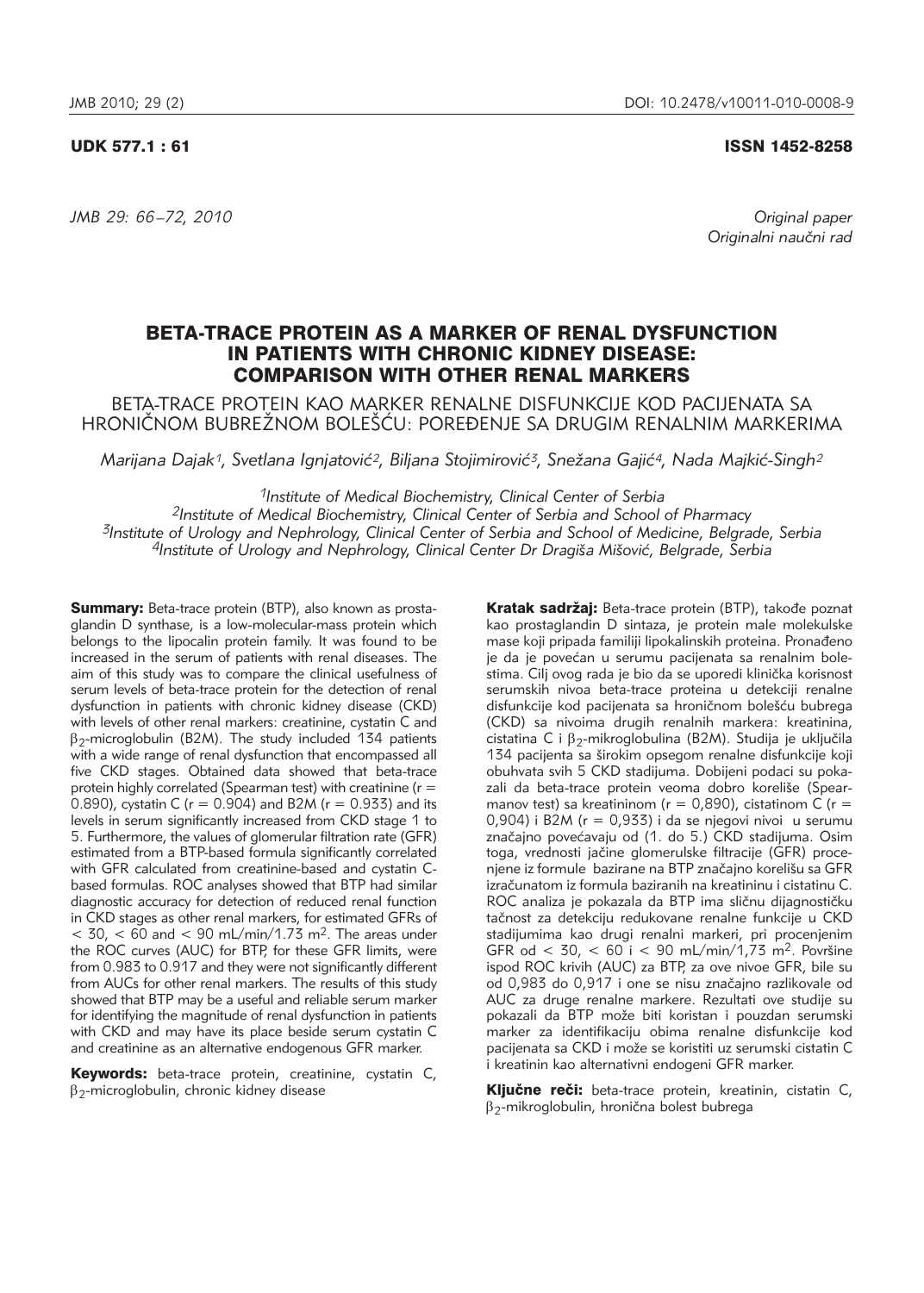# UDK 577.1 : 61 ISSN 1452-8258

*JMB 29: 66 –72, 2010 Original paper*

Originalni naučni rad

# BETA-TRACE PROTEIN AS A MARKER OF RENAL DYSFUNCTION IN PATIENTS WITH CHRONIC KIDNEY DISEASE: COMPARISON WITH OTHER RENAL MARKERS

BETA-TRACE PROTEIN KAO MARKER RENALNE DISFUNKCIJE KOD PACIJENATA SA HRONIČNOM BUBREŽNOM BOLEŠĆU: POREĐENJE SA DRUGIM RENALNIM MARKERIMA

*Marijana Dajak<sup>1</sup>, Svetlana Ignjatović<sup>2</sup>, Biljana Stojimirović<sup>3</sup>, Snežana Gajić<sup>4</sup>, Nada Majkić-Singh<sup>2</sup>* 

*1Institute of Medical Biochemistry, Clinical Center of Serbia*

*2Institute of Medical Biochemistry, Clinical Center of Serbia and School of Pharmacy 3Institute of Urology and Nephrology, Clinical Center of Serbia and School of Medicine, Belgrade, Serbia 4Institute of Urology and Nephrology, Clinical Center Dr Dragi{a Mi{ovi}, Belgrade, Serbia*

Summary: Beta-trace protein (BTP), also known as prostaglandin D synthase, is a low-molecular-mass protein which belongs to the lipocalin protein family. It was found to be increased in the serum of patients with renal diseases. The aim of this study was to compare the clinical usefulness of serum levels of beta-trace protein for the detection of renal dysfunction in patients with chronic kidney disease (CKD) with levels of other renal markers: creatinine, cystatin C and  $\beta_2$ -microglobulin (B2M). The study included 134 patients  $\frac{1}{2}$  with a wide range of renal dysfunction that encompassed all five CKD stages. Obtained data showed that beta-trace protein highly correlated (Spearman test) with creatinine ( $r =$ 0.890), cystatin C ( $r = 0.904$ ) and B2M ( $r = 0.933$ ) and its levels in serum significantly increased from CKD stage 1 to 5. Furthermore, the values of glomerular filtration rate (GFR) estimated from a BTP-based formula significantly correlated with GFR calculated from creatinine-based and cystatin Cbased formulas. ROC analyses showed that BTP had similar diagnostic accuracy for detection of reduced renal function in CKD stages as other renal markers, for estimated GFRs of  $<$  30,  $<$  60 and  $<$  90 mL/min/1.73 m<sup>2</sup>. The areas under the ROC curves (AUC) for BTP, for these GFR limits, were from 0.983 to 0.917 and they were not significantly different from AUCs for other renal markers. The results of this study showed that BTP may be a useful and reliable serum marker for identifying the magnitude of renal dysfunction in patients with CKD and may have its place beside serum cystatin C and creatinine as an alternative endogenous GFR marker.

Keywords: beta-trace protein, creatinine, cystatin C,  $\beta_2$ -microglobulin, chronic kidney disease

Kratak sadržaj: Beta-trace protein (BTP), takođe poznat kao prostaglandin D sintaza, je protein male molekulske mase koji pripada familiji lipokalinskih proteina. Pronađeno je da je povećan u serumu pacijenata sa renalnim bolestima. Cilj ovog rada je bio da se uporedi klinička korisnost serumskih nivoa beta-trace proteina u detekciji renalne disfunkcije kod pacijenata sa hroničnom bolešću bubrega (CKD) sa nivoima drugih renalnih markera: kreatinina, cistatina C i  $\beta_2$ -mikroglobulina (B2M). Studija je uključila 134 pacijenta sa {irokim opsegom renalne disfunkcije koji obuhvata svih 5 CKD stadijuma. Dobijeni podaci su poka zali da beta-trace protein veoma dobro koreliše (Spearmanov test) sa kreatininom ( $r = 0.890$ ), cistatinom C ( $r =$ 0,904) i B2M ( $r = 0.933$ ) i da se njegovi nivoi u serumu značajno povećavaju od (1. do 5.) CKD stadijuma. Osim toga, vrednosti jačine glomerulske filtracije (GFR) procenjene iz formule bazirane na BTP značajno korelišu sa GFR izračunatom iz formula baziranih na kreatininu i cistatinu C. ROC analiza je pokazala da BTP ima sličnu dijagnostičku tačnost za detekciju redukovane renalne funkcije u CKD stadijumima kao drugi renalni markeri, pri procenjenim GFR od < 30, < 60 i < 90 mL/min/1,73 m<sup>2</sup>. Površine ispod ROC krivih (AUC) za BTP, za ove nivoe GFR, bile su od 0,983 do 0,917 i one se nisu značajno razlikovale od AUC za druge renalne markere. Rezultati ove studije su pokazali da BTP može biti koristan i pouzdan serumski marker za identifikaciju obima renalne disfunkcije kod pacijenata sa CKD i može se koristiti uz serumski cistatin C i kreatinin kao alternativni endogeni GFR marker.

Ključne reči: beta-trace protein, kreatinin, cistatin C,  $\beta_2$ -mikroglobulin, hronična bolest bubrega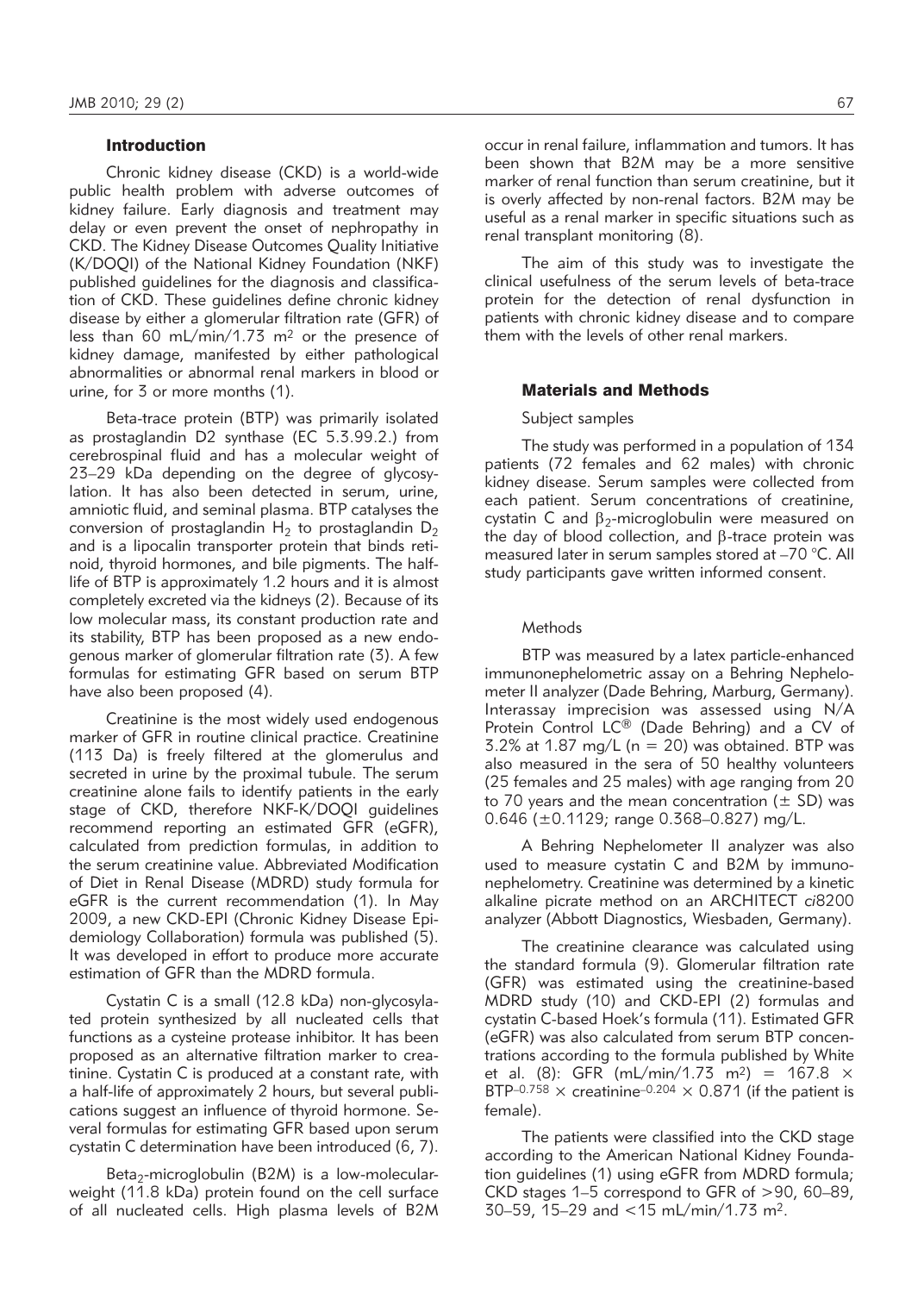#### Introduction

Chronic kidney disease (CKD) is a world-wide public health problem with adverse outcomes of kidney failure. Early diagnosis and treatment may delay or even prevent the onset of nephropathy in CKD. The Kidney Disease Outcomes Quality Initiative (K/DOQI) of the National Kidney Foundation (NKF) published quidelines for the diagnosis and classification of CKD. These guidelines define chronic kidney disease by either a glomerular filtration rate (GFR) of less than 60 mL/min/1.73 m2 or the presence of kidney damage, manifested by either pathological abnormalities or abnormal renal markers in blood or urine, for 3 or more months (1).

Beta-trace protein (BTP) was primarily isolated as prostaglandin D2 synthase (EC 5.3.99.2.) from cerebrospinal fluid and has a molecular weight of 23–29 kDa depending on the degree of glycosylation. It has also been detected in serum, urine, amniotic fluid, and seminal plasma. BTP catalyses the conversion of prostaglandin  $H_2$  to prostaglandin  $D_2$ and is a lipocalin transporter protein that binds retinoid, thyroid hormones, and bile pigments. The halflife of BTP is approximately 1.2 hours and it is almost completely excreted via the kidneys (2). Because of its low molecular mass, its constant production rate and its stability, BTP has been proposed as a new endogenous marker of glomerular filtration rate (3). A few formulas for estimating GFR based on serum BTP have also been proposed (4).

Creatinine is the most widely used endogenous marker of GFR in routine clinical practice. Creatinine (113 Da) is freely filtered at the glomerulus and secreted in urine by the proximal tubule. The serum creatinine alone fails to identify patients in the early stage of CKD, therefore NKF-K/DOQI guidelines recom mend reporting an estimated GFR (eGFR), calculated from prediction formulas, in addition to the serum creatinine value. Abbreviated Modification of Diet in Renal Disease (MDRD) study formula for eGFR is the current recommendation (1). In May 2009, a new CKD-EPI (Chronic Kidney Disease Epidemiology Collaboration) formula was published (5). It was developed in effort to produce more accurate estimation of GFR than the MDRD formula.

Cystatin C is a small (12.8 kDa) non-glycosylated protein synthesized by all nucleated cells that functions as a cysteine protease inhibitor. It has been proposed as an alternative filtration marker to creatinine. Cystatin C is produced at a constant rate, with a half-life of approximately 2 hours, but several publications suggest an influence of thyroid hormone. Several formulas for estimating GFR based upon serum cystatin C determination have been introduced (6, 7).

Beta<sub>2</sub>-microglobulin (B2M) is a low-molecularweight (11.8 kDa) protein found on the cell surface of all nucleated cells. High plasma levels of B2M occur in renal failure, inflammation and tumors. It has been shown that B2M may be a more sensitive marker of renal function than serum creatinine, but it is overly affected by non-renal factors. B2M may be useful as a renal marker in specific situations such as renal transplant monitoring (8).

The aim of this study was to investigate the clinical usefulness of the serum levels of beta-trace protein for the detection of renal dysfunction in patients with chronic kidney disease and to compare them with the levels of other renal markers.

### Materials and Methods

#### Subject samples

The study was performed in a population of 134 patients (72 females and 62 males) with chronic kidney disease. Serum samples were collected from each patient. Serum concentrations of creatinine, cystatin C and  $\beta_2$ -microglobulin were measured on the day of blood collection, and  $\beta$ -trace protein was measured later in serum samples stored at –70 °C. All study participants gave written informed consent.

### Methods

BTP was measured by a latex particle-enhanced immunonephelometric assay on a Behring Nephelometer II analyzer (Dade Behring, Marburg, Germany). Interassay imprecision was assessed using N/A Protein Control LC® (Dade Behring) and a CV of  $3.2\%$  at 1.87 mg/L (n = 20) was obtained. BTP was also measured in the sera of 50 healthy volunteers (25 females and 25 males) with age ranging from 20 to 70 years and the mean concentration ( $\pm$  SD) was 0.646 (±0.1129; range 0.368–0.827) mg/L.

A Behring Nephelometer II analyzer was also used to measure cystatin  $C$  and  $B2M$  by immunonephelometry. Creatinine was determined by a kinetic alkaline picrate method on an ARCHITECT *ci*8200 analyzer (Abbott Diagnostics, Wiesbaden, Germany).

The creatinine clearance was calculated using the standard formula (9). Glomerular filtration rate (GFR) was estimated using the creatinine-based MDRD study (10) and CKD-EPI (2) formulas and cystatin C-based Hoek's formula (11). Estimated GFR (eGFR) was also calculated from serum BTP concentrations according to the formula published by White et al. (8): GFR (mL/min/1.73 m<sup>2</sup>) = 167.8  $\times$ BTP-0.758  $\times$  creatinine<sup>-0.204</sup>  $\times$  0.871 (if the patient is female).

The patients were classified into the CKD stage according to the American National Kidney Foundation guidelines (1) using eGFR from MDRD formula; CKD stages 1–5 correspond to GFR of >90, 60–89, 30–59, 15–29 and <15 mL/min/1.73 m2.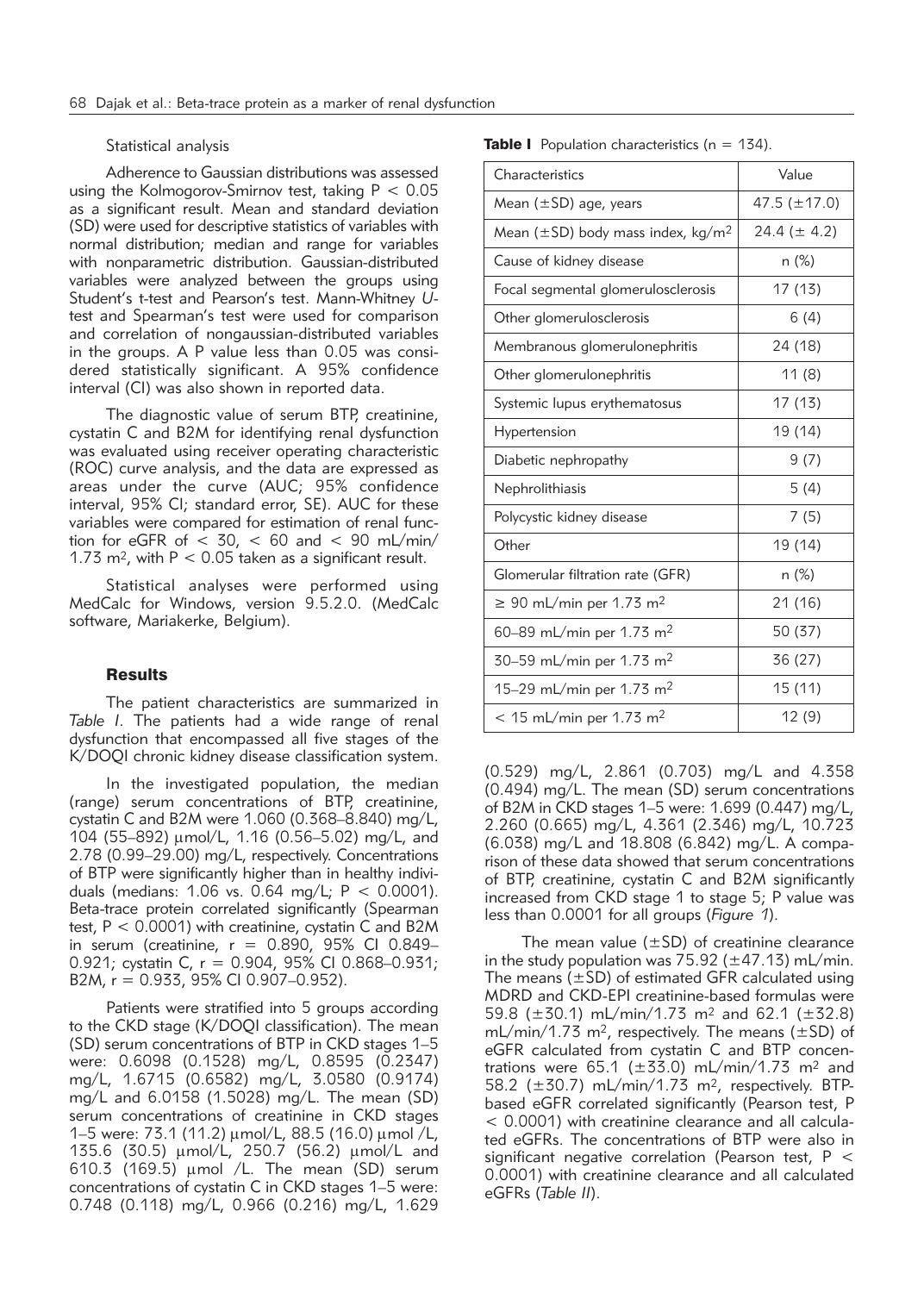### Statistical analysis

Adherence to Gaussian distributions was assessed using the Kolmogorov-Smirnov test, taking  $P < 0.05$ as a significant result. Mean and standard deviation (SD) were used for descriptive statistics of variables with normal distribution; median and range for variables with nonparametric distribution. Gaussian-distributed variables were analyzed between the groups using Student's t-test and Pearson's test. Mann-Whitney *U*test and Spearman's test were used for comparison and correlation of nongaussian-distributed variables in the groups. A P value less than 0.05 was considered statistically significant. A 95% confidence interval (CI) was also shown in reported data.

The diagnostic value of serum BTP, creatinine, cystatin C and B2M for identifying renal dysfunction was evaluated using receiver operating characteristic (ROC) curve analysis, and the data are expressed as areas under the curve (AUC; 95% confidence interval, 95% CI; standard error, SE). AUC for these variables were compared for estimation of renal function for eGFR of  $<$  30,  $<$  60 and  $<$  90 mL/min/ 1.73 m<sup>2</sup>, with  $P < 0.05$  taken as a significant result.

Statistical analyses were performed using MedCalc for Windows, version 9.5.2.0. (MedCalc software, Mariakerke, Belgium).

# **Results**

The patient characteristics are summarized in *Table I*. The patients had a wide range of renal dysfunction that encompassed all five stages of the K/DOQI chronic kidney disease classification system.

In the investigated population, the median (range) serum concentrations of BTP, creatinine, cystatin C and B2M were 1.060 (0.368–8.840) mg/L, 104 (55–892) mmol/L, 1.16 (0.56–5.02) mg/L, and 2.78 (0.99–29.00) mg/L, respectively. Concentrations of BTP were significantly higher than in healthy individuals (medians: 1.06 vs. 0.64 mg/L;  $P < 0.0001$ ). Beta-trace protein correlated significantly (Spearman test, P < 0.0001) with creatinine, cystatin C and B2M in serum (creatinine,  $r = 0.890$ , 95% CI 0.849-0.921; cystatin C, r = 0.904, 95% CI 0.868–0.931; B2M, r = 0.933, 95% CI 0.907–0.952).

Patients were stratified into 5 groups according to the CKD stage (K/DOQI classification). The mean (SD) serum concentrations of BTP in CKD stages 1–5 were: 0.6098 (0.1528) mg/L, 0.8595 (0.2347) mg/L, 1.6715 (0.6582) mg/L, 3.0580 (0.9174) mg/L and 6.0158 (1.5028) mg/L. The mean (SD) serum concentrations of creatinine in CKD stages 1–5 were: 73.1 (11.2) μmol/L, 88.5 (16.0) μmol /L, 135.6 (30.5) μmol/L, 250.7 (56.2) μmol/L and 610.3 (169.5)  $\mu$ mol /L. The mean (SD) serum concentrations of cystatin C in CKD stages 1–5 were: 0.748 (0.118) mg/L, 0.966 (0.216) mg/L, 1.629 **Table I** Population characteristics ( $n = 134$ ).

| Characteristics                                    | Value             |  |  |  |
|----------------------------------------------------|-------------------|--|--|--|
| Mean $(\pm SD)$ age, years                         | 47.5 $(\pm 17.0)$ |  |  |  |
| Mean $(\pm SD)$ body mass index, kg/m <sup>2</sup> | 24.4 ( $\pm$ 4.2) |  |  |  |
| Cause of kidney disease                            | n (%)             |  |  |  |
| Focal segmental glomerulosclerosis                 | 17 (13)           |  |  |  |
| Other glomerulosclerosis                           | 6 (4)             |  |  |  |
| Membranous glomerulonephritis                      | 24 (18)           |  |  |  |
| Other glomerulonephritis                           | 11 (8)            |  |  |  |
| Systemic lupus erythematosus                       | 17 (13)           |  |  |  |
| Hypertension                                       | 19 (14)           |  |  |  |
| Diabetic nephropathy                               | 9(7)              |  |  |  |
| Nephrolithiasis                                    | 5(4)              |  |  |  |
| Polycystic kidney disease                          | 7(5)              |  |  |  |
| Other                                              | 19 (14)           |  |  |  |
| Glomerular filtration rate (GFR)                   | n (%)             |  |  |  |
| $\geq$ 90 mL/min per 1.73 m <sup>2</sup>           | 21 (16)           |  |  |  |
| 60–89 mL/min per 1.73 m <sup>2</sup>               | 50 (37)           |  |  |  |
| 30–59 mL/min per 1.73 m <sup>2</sup>               | 36 (27)           |  |  |  |
| 15–29 mL/min per 1.73 m <sup>2</sup>               | 15 (11)           |  |  |  |
| $<$ 15 mL/min per 1.73 m <sup>2</sup>              | 12(9)             |  |  |  |

(0.529) mg/L, 2.861 (0.703) mg/L and 4.358 (0.494) mg/L. The mean (SD) serum concentrations of B2M in CKD stages 1–5 were: 1.699 (0.447) mg/L, 2.260 (0.665) mg/L, 4.361 (2.346) mg/L, 10.723 (6.038) mg/L and 18.808 (6.842) mg/L. A comparison of these data showed that serum concentrations of BTP, creatinine, cystatin C and B2M significantly increased from CKD stage 1 to stage 5; P value was less than 0.0001 for all groups (*Figure 1*).

The mean value  $(\pm SD)$  of creatinine clearance in the study population was  $75.92$  ( $\pm$ 47.13) mL/min. The means  $(\pm SD)$  of estimated GFR calculated using MDRD and CKD-EPI creatinine-based formulas were 59.8 ( $\pm$ 30.1) mL/min/1.73 m<sup>2</sup> and 62.1 ( $\pm$ 32.8) mL/min/1.73 m<sup>2</sup>, respectively. The means ( $\pm$ SD) of eGFR calculated from cystatin C and BTP concentrations were 65.1 ( $\pm$ 33.0) mL/min/1.73 m<sup>2</sup> and 58.2 (±30.7) mL/min/1.73 m2, respectively. BTPbased eGFR correlated significantly (Pearson test, P  $<$  0.0001) with creatinine clearance and all calculated eGFRs. The concentrations of BTP were also in significant negative correlation (Pearson test, P < 0.0001) with creatinine clearance and all calculated eGFRs (*Table II*).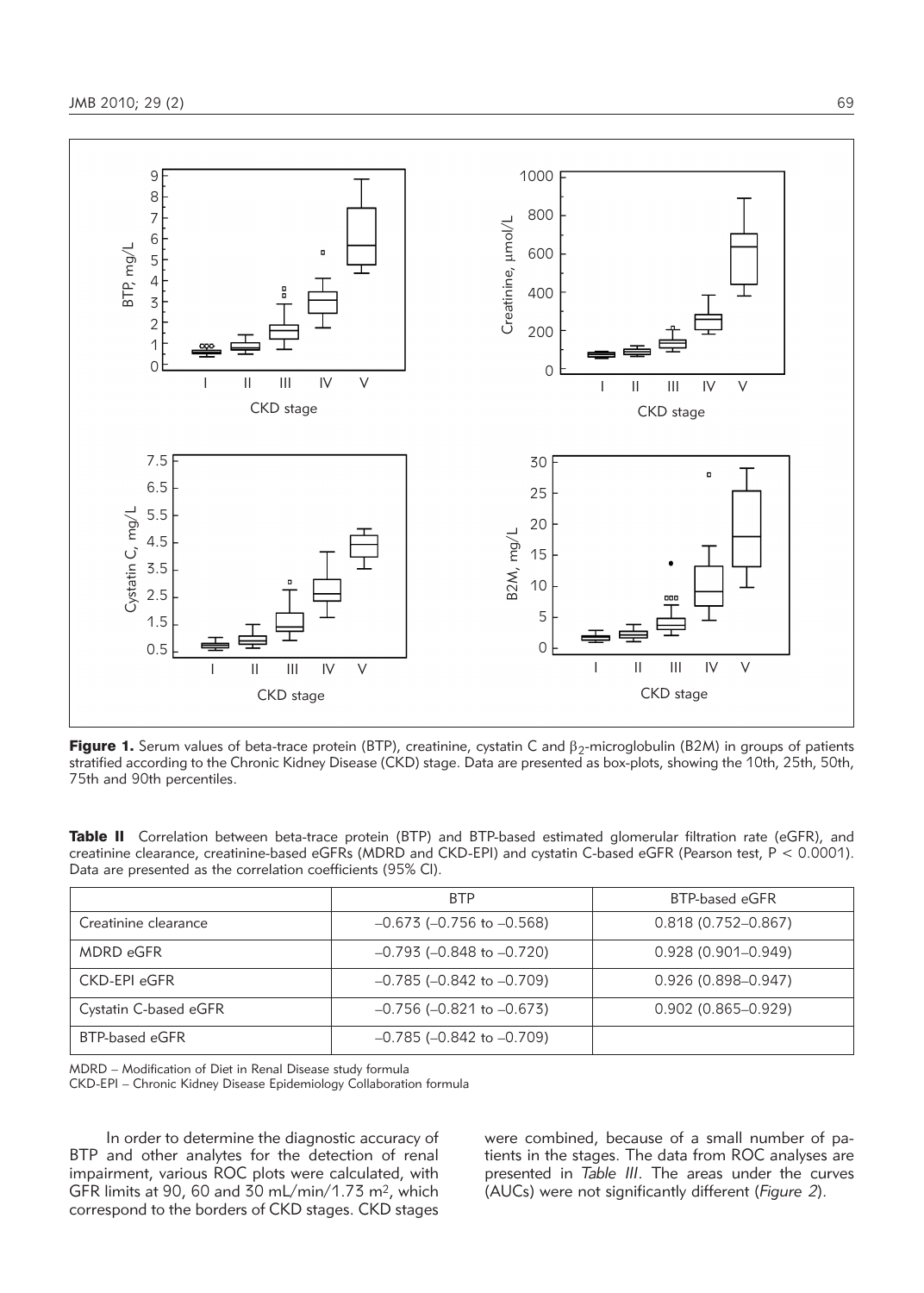

Figure 1. Serum values of beta-trace protein (BTP), creatinine, cystatin C and  $\beta_2$ -microglobulin (B2M) in groups of patients stratified according to the Chronic Kidney Disease (CKD) stage. Data are presented as box-plots, showing the 10th, 25th, 50th, 75th and 90th percentiles.

|                                                              |  |  |  | Table II Correlation between beta-trace protein (BTP) and BTP-based estimated glomerular filtration rate (eGFR), and     |  |  |
|--------------------------------------------------------------|--|--|--|--------------------------------------------------------------------------------------------------------------------------|--|--|
|                                                              |  |  |  | creatinine clearance, creatinine-based eGFRs (MDRD and CKD-EPI) and cystatin C-based eGFR (Pearson test, $P < 0.0001$ ). |  |  |
| Data are presented as the correlation coefficients (95% CI). |  |  |  |                                                                                                                          |  |  |

|                       | <b>BTP</b>                        | BTP-based eGFR         |  |  |  |
|-----------------------|-----------------------------------|------------------------|--|--|--|
| Creatinine clearance  | $-0.673$ ( $-0.756$ to $-0.568$ ) | $0.818(0.752 - 0.867)$ |  |  |  |
| <b>MDRD eGFR</b>      | $-0.793$ ( $-0.848$ to $-0.720$ ) | $0.928(0.901 - 0.949)$ |  |  |  |
| <b>CKD-EPI eGFR</b>   | $-0.785$ ( $-0.842$ to $-0.709$ ) | $0.926(0.898 - 0.947)$ |  |  |  |
| Cystatin C-based eGFR | $-0.756$ ( $-0.821$ to $-0.673$ ) | $0.902(0.865 - 0.929)$ |  |  |  |
| BTP-based eGFR        | $-0.785$ ( $-0.842$ to $-0.709$ ) |                        |  |  |  |

MDRD – Modification of Diet in Renal Disease study formula

CKD-EPI – Chronic Kidney Disease Epidemiology Collaboration formula

In order to determine the diagnostic accuracy of BTP and other analytes for the detection of renal impairment, various ROC plots were calculated, with GFR limits at 90, 60 and 30 mL/min/1.73 m2, which correspond to the borders of CKD stages. CKD stages were combined, because of a small number of patients in the stages. The data from ROC analyses are presented in *Table III*. The areas under the curves (AUCs) were not significantly different (*Figure 2*).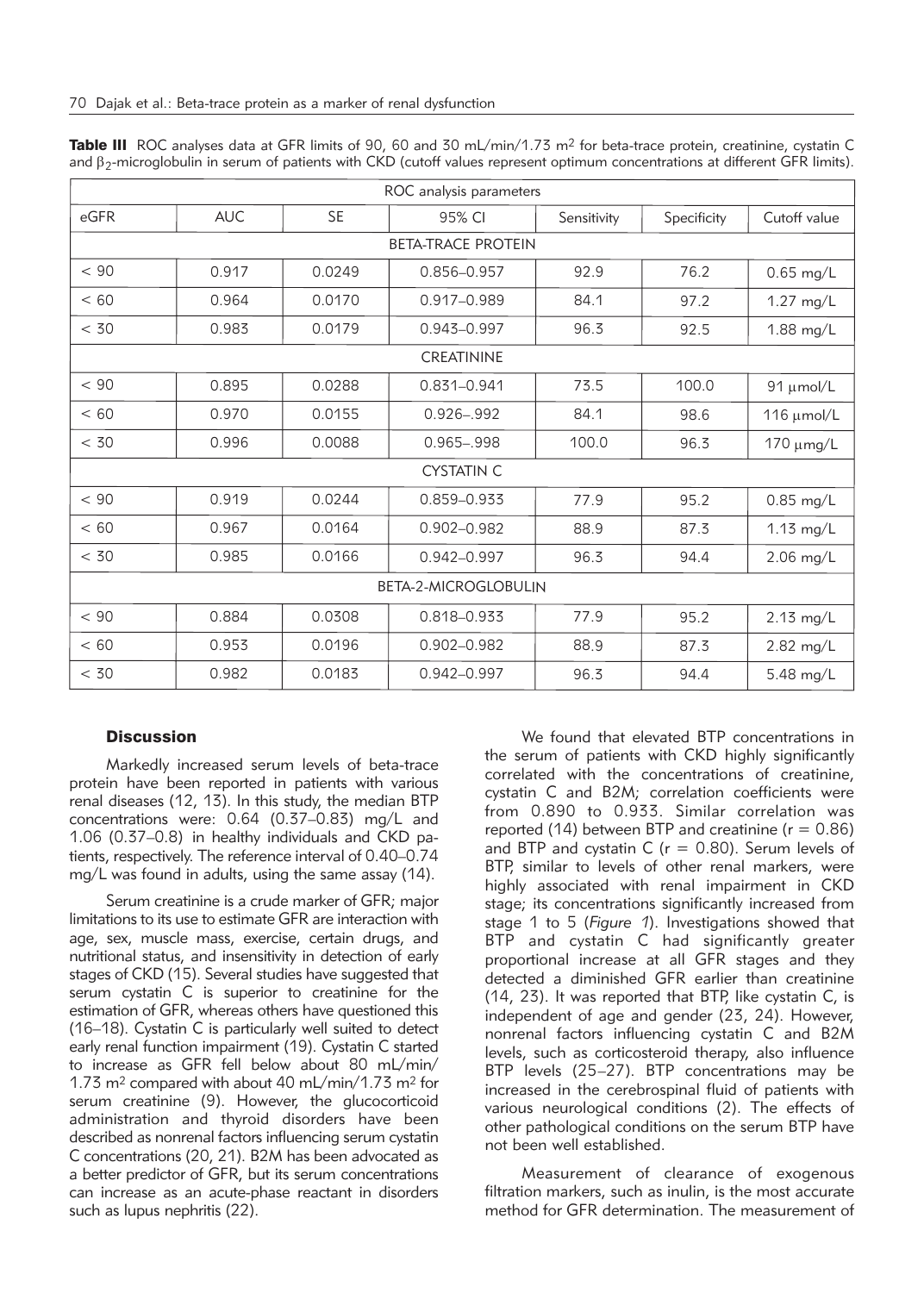| ROC analysis parameters   |            |                                  |                             |              |             |              |  |  |  |
|---------------------------|------------|----------------------------------|-----------------------------|--------------|-------------|--------------|--|--|--|
| eGFR                      | <b>AUC</b> | <b>SE</b>                        | 95% CI                      | Sensitivity  | Specificity | Cutoff value |  |  |  |
| <b>BETA-TRACE PROTEIN</b> |            |                                  |                             |              |             |              |  |  |  |
| < 90                      | 0.917      | 0.0249                           | 92.9<br>76.2<br>0.856-0.957 |              |             | $0.65$ mg/L  |  |  |  |
| < 60                      | 0.964      | 0.0170                           | $0.917 - 0.989$<br>84.1     |              | 97.2        | 1.27 mg/L    |  |  |  |
| < 30                      | 0.983      | 0.0179                           | 0.943-0.997<br>96.3         |              | 92.5        | 1.88 mg/L    |  |  |  |
| <b>CREATININE</b>         |            |                                  |                             |              |             |              |  |  |  |
| < 90                      | 0.895      | 0.0288                           | 0.831-0.941<br>73.5         |              | 100.0       | 91 µmol/L    |  |  |  |
| < 60                      | 0.970      | 0.0155                           | $0.926 - 992$               | 84.1         | 98.6        | 116 µmol/L   |  |  |  |
| < 30                      | 0.996      | 0.0088<br>$0.965 - 998$<br>100.0 |                             | 96.3         | 170 μmg/L   |              |  |  |  |
|                           |            |                                  | <b>CYSTATIN C</b>           |              |             |              |  |  |  |
| < 90                      | 0.919      | 0.0244                           | 0.859-0.933                 | 77.9<br>95.2 |             | $0.85$ mg/L  |  |  |  |
| < 60                      | 0.967      | 0.0164                           | $0.902 - 0.982$             | 88.9         | 87.3        | $1.13$ mg/L  |  |  |  |
| < 30                      | 0.985      | 0.0166                           | $0.942 - 0.997$             | 96.3         | 94.4        | $2.06$ mg/L  |  |  |  |
| BETA-2-MICROGLOBULIN      |            |                                  |                             |              |             |              |  |  |  |
| < 90                      | 0.884      | 0.0308                           | 0.818-0.933                 | 77.9         | 95.2        | 2.13 mg/L    |  |  |  |
| < 60                      | 0.953      | 0.0196                           | 0.902-0.982                 | 88.9<br>87.3 |             | 2.82 mg/L    |  |  |  |
| < 30                      | 0.982      | 0.0183                           | 0.942-0.997                 | 96.3         | 94.4        | 5.48 mg/L    |  |  |  |

Table III ROC analyses data at GFR limits of 90, 60 and 30 mL/min/1.73 m<sup>2</sup> for beta-trace protein, creatinine, cystatin C and  $\beta_2$ -microglobulin in serum of patients with CKD (cutoff values represent optimum concentrations at different GFR limits).

# **Discussion**

Markedly increased serum levels of beta-trace protein have been reported in patients with various renal diseases (12, 13). In this study, the median BTP concentrations were: 0.64 (0.37–0.83) mg/L and 1.06 (0.37-0.8) in healthy individuals and  $\textsf{CKD}$  patients, respectively. The reference interval of 0.40–0.74 mg/L was found in adults, using the same assay (14).

Serum creatinine is a crude marker of GFR; major limitations to its use to estimate GFR are interaction with age, sex, muscle mass, exercise, certain drugs, and nutritional status, and insensitivity in detection of early stages of CKD (15). Several studies have suggested that serum cystatin C is superior to creatinine for the estimation of GFR, whereas others have questioned this (16–18). Cystatin C is particularly well suited to detect early renal function impairment (19). Cystatin C started to increase as GFR fell below about 80 mL/min/ 1.73 m2 compared with about 40 mL/min/1.73 m2 for serum creatinine (9). However, the glucocorticoid administration and thyroid disorders have been described as nonrenal factors influencing serum cystatin C concentrations (20, 21). B2M has been advocated as a better predictor of GFR, but its serum concentrations can increase as an acute-phase reactant in disorders such as lupus nephritis (22).

We found that elevated BTP concentrations in the serum of patients with CKD highly significantly correlated with the concentrations of creatinine, cystatin C and B2M; correlation coefficients were from 0.890 to 0.933. Similar correlation was reported (14) between BTP and creatinine ( $r = 0.86$ ) and BTP and cystatin C ( $r = 0.80$ ). Serum levels of BTP, similar to levels of other renal markers, were highly associated with renal impairment in CKD stage; its concentrations significantly increased from stage 1 to 5 (*Figure 1*). Investigations showed that BTP and cystatin C had significantly greater proportional increase at all GFR stages and they detected a diminished GFR earlier than creatinine (14, 23). It was reported that BTP, like cystatin C, is independent of age and gender (23, 24). However, nonrenal factors influencing cystatin C and B2M levels, such as corticosteroid therapy, also influence BTP levels (25–27). BTP concentrations may be increased in the cerebrospinal fluid of patients with various neurological conditions (2). The effects of other pathological conditions on the serum BTP have not been well established.

Measurement of clearance of exogenous filtration markers, such as inulin, is the most accurate method for GFR determination. The measurement of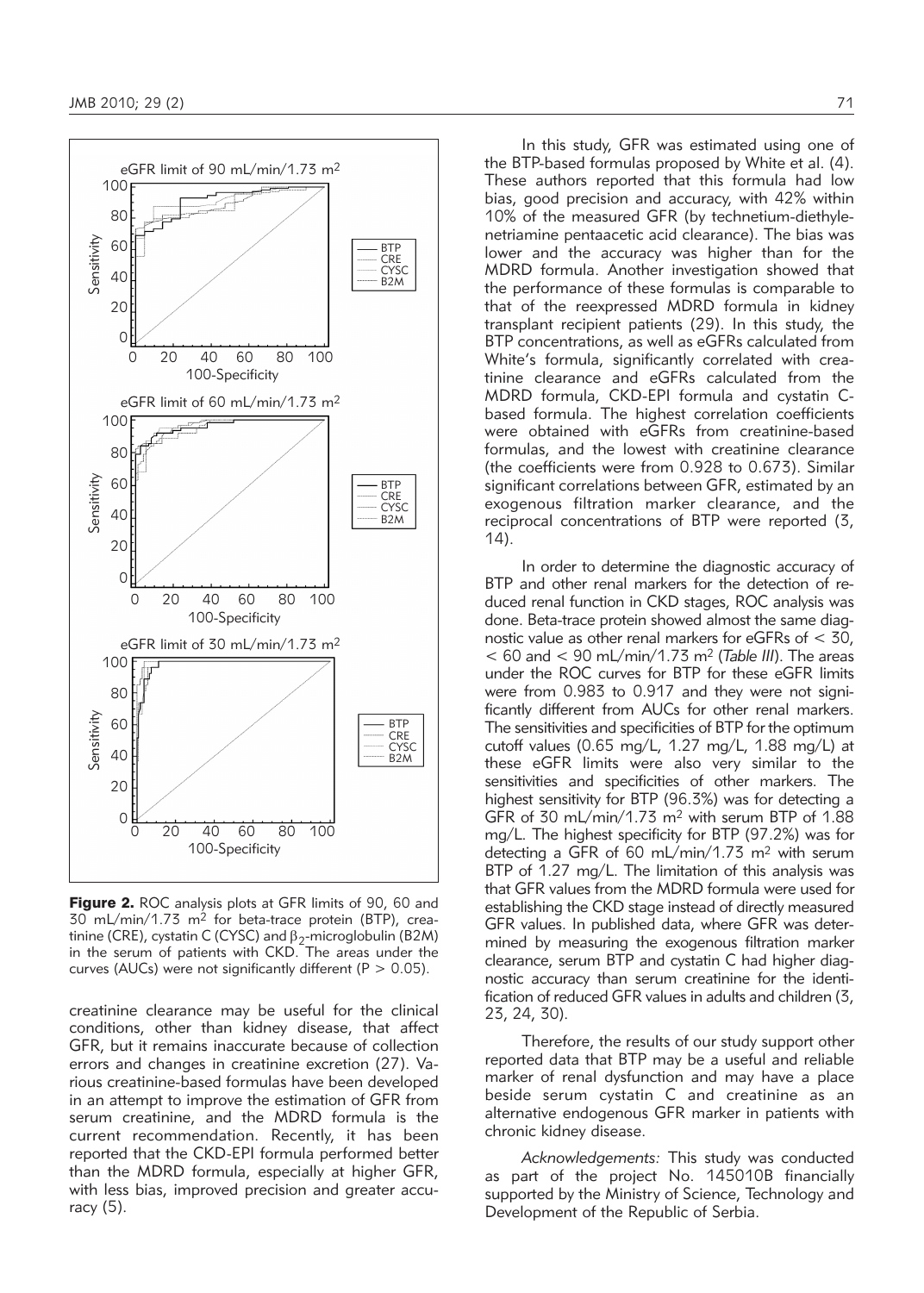

Figure 2. ROC analysis plots at GFR limits of 90, 60 and  $30$  mL/min/1.73 m<sup>2</sup> for beta-trace protein (BTP), creatinine (CRE), cystatin C (CYSC) and  $\beta_2$ -microglobulin (B2M) in the serum of patients with CKD. The areas under the curves (AUCs) were not significantly different ( $P > 0.05$ ).

creatinine clearance may be useful for the clinical conditions, other than kidney disease, that affect GFR, but it remains inaccurate because of collection errors and changes in creatinine excretion (27). Various creatinine-based formulas have been developed in an attempt to improve the estimation of GFR from serum creatinine, and the MDRD formula is the current recommendation. Recently, it has been reported that the CKD-EPI formula performed better than the MDRD formula, especially at higher GFR, with less bias, improved precision and greater accuracy (5).

In this study, GFR was estimated using one of the BTP-based formulas proposed by White et al. (4). These authors reported that this formula had low bias, good precision and accuracy, with 42% within 10% of the measured GFR (by technetium-diethylenetriamine pentaacetic acid clearance). The bias was lower and the accuracy was higher than for the MDRD formula. Another investigation showed that the performance of these formulas is comparable to that of the reexpressed MDRD formula in kidney transplant recipient patients (29). In this study, the BTP concentrations, as well as eGFRs calculated from White's formula, significantly correlated with creatinine clearance and eGFRs calculated from the MDRD formula, CKD-EPI formula and cystatin Cbased formula. The highest correlation coefficients were obtained with eGFRs from creatinine-based formulas, and the lowest with creatinine clearance (the coefficients were from 0.928 to 0.673). Similar significant correlations between GFR, estimated by an

In order to determine the diagnostic accuracy of BTP and other renal markers for the detection of reduced renal function in CKD stages, ROC analysis was done. Beta-trace protein showed almost the same diagnostic value as other renal markers for eGFRs of < 30,  $< 60$  and  $< 90$  mL/min/1.73 m<sup>2</sup> (*Table III*). The areas under the ROC curves for BTP for these eGFR limits were from 0.983 to 0.917 and they were not significantly different from AUCs for other renal markers. The sensitivities and specificities of BTP for the optimum cutoff values (0.65 mg/L, 1.27 mg/L, 1.88 mg/L) at these eGFR limits were also very similar to the sensitivities and specificities of other markers. The highest sensitivity for BTP (96.3%) was for detecting a GFR of 30 mL/min/1.73 m<sup>2</sup> with serum BTP of 1.88 mg/L. The highest specificity for BTP (97.2%) was for detecting a GFR of 60 mL/min/1.73 m2 with serum BTP of 1.27 mg/L. The limitation of this analysis was that GFR values from the MDRD formula were used for establishing the CKD stage instead of directly measured GFR values. In published data, where GFR was determined by measuring the exogenous filtration marker clearance, serum BTP and cystatin C had higher diagnostic accuracy than serum creatinine for the identification of reduced GFR values in adults and children (3, 23, 24, 30).

exogenous filtration marker clearance, and the reciprocal concentrations of BTP were reported (3,

14).

Therefore, the results of our study support other reported data that BTP may be a useful and reliable marker of renal dysfunction and may have a place beside serum cystatin C and creatinine as an alternative endogenous GFR marker in patients with chronic kidney disease.

*Acknowledgements:* This study was conducted as part of the project No. 145010B financially supported by the Ministry of Science, Technology and Development of the Republic of Serbia.